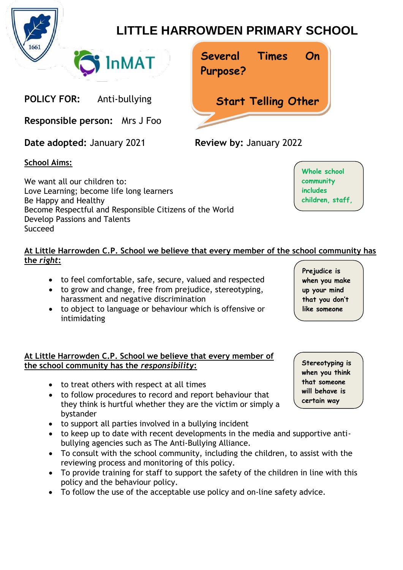

## **LITTLE HARROWDEN PRIMARY SCHOOL**

**Times On**

**Start Telling Other**

**Several**

**Purpose?**

**POLICY FOR:** Anti-bullying

**Responsible person:** Mrs J Foo

**Date adopted:** January 2021 **Review by:** January 2022

## **School Aims:**

We want all our children to: Love Learning; become life long learners Be Happy and Healthy Become Respectful and Responsible Citizens of the World Develop Passions and Talents Succeed

**InMAT** 

## **At Little Harrowden C.P. School we believe that every member of the school community has the** *right***:**

- to feel comfortable, safe, secure, valued and respected
- to grow and change, free from prejudice, stereotyping, harassment and negative discrimination
- to object to language or behaviour which is offensive or intimidating

## **At Little Harrowden C.P. School we believe that every member of the school community has the** *responsibility***:**

- to treat others with respect at all times
- to follow procedures to record and report behaviour that they think is hurtful whether they are the victim or simply a bystander
- to support all parties involved in a bullying incident
- to keep up to date with recent developments in the media and supportive antibullying agencies such as The Anti-Bullying Alliance.
- To consult with the school community, including the children, to assist with the reviewing process and monitoring of this policy.
- To provide training for staff to support the safety of the children in line with this policy and the behaviour policy.
- To follow the use of the acceptable use policy and on-line safety advice.

**Prejudice is when you make up your mind that you don't like someone**

**Stereotyping is when you think that someone will behave is certain way**

**Whole school community includes children, staff,**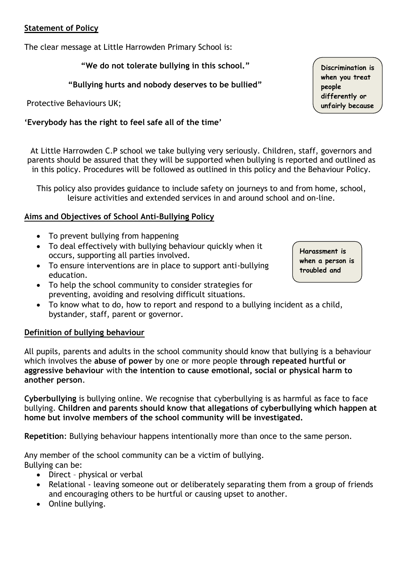#### **Statement of Policy**

The clear message at Little Harrowden Primary School is:

**"We do not tolerate bullying in this school."**

**"Bullying hurts and nobody deserves to be bullied"**

Protective Behaviours UK;

## **'Everybody has the right to feel safe all of the time'**

At Little Harrowden C.P school we take bullying very seriously. Children, staff, governors and parents should be assured that they will be supported when bullying is reported and outlined as in this policy. Procedures will be followed as outlined in this policy and the Behaviour Policy.

This policy also provides guidance to include safety on journeys to and from home, school, leisure activities and extended services in and around school and on-line.

## **Aims and Objectives of School Anti-Bullying Policy**

- To prevent bullying from happening
- To deal effectively with bullying behaviour quickly when it occurs, supporting all parties involved.
- To ensure interventions are in place to support anti-bullying education.
- To help the school community to consider strategies for preventing, avoiding and resolving difficult situations.
- To know what to do, how to report and respond to a bullying incident as a child, bystander, staff, parent or governor.

## **Definition of bullying behaviour**

All pupils, parents and adults in the school community should know that bullying is a behaviour which involves the **abuse of power** by one or more people **through repeated hurtful or aggressive behaviour** with **the intention to cause emotional, social or physical harm to another person**.

**Cyberbullying** is bullying online. We recognise that cyberbullying is as harmful as face to face bullying. **Children and parents should know that allegations of cyberbullying which happen at home but involve members of the school community will be investigated.**

**Repetition**: Bullying behaviour happens intentionally more than once to the same person.

Any member of the school community can be a victim of bullying. Bullying can be:

- Direct physical or verbal
- Relational leaving someone out or deliberately separating them from a group of friends and encouraging others to be hurtful or causing upset to another.
- Online bullying.

**Discrimination is when you treat people differently or unfairly because**

**Harassment is when a person is troubled and**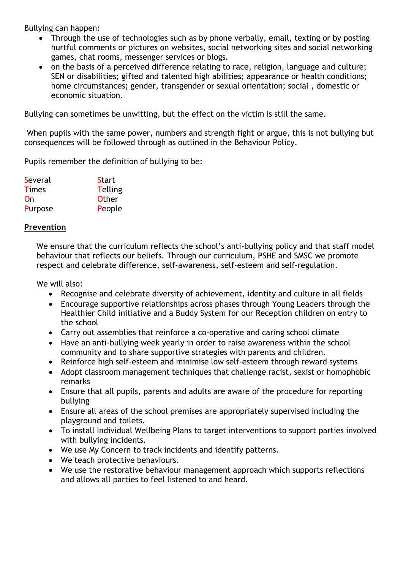Bullying can happen:

- Through the use of technologies such as by phone verbally, email, texting or by posting hurtful comments or pictures on websites, social networking sites and social networking games, chat rooms, messenger services or blogs.
- on the basis of a perceived difference relating to race, religion, language and culture; SEN or disabilities; gifted and talented high abilities; appearance or health conditions; home circumstances; gender, transgender or sexual orientation; social , domestic or economic situation.

Bullying can sometimes be unwitting, but the effect on the victim is still the same.

When pupils with the same power, numbers and strength fight or argue, this is not bullying but consequences will be followed through as outlined in the Behaviour Policy.

Pupils remember the definition of bullying to be:

| Several      | <b>Start</b>   |
|--------------|----------------|
| <b>Times</b> | <b>Telling</b> |
| On           | <b>Other</b>   |
| Purpose      | People         |

#### **Prevention**

We ensure that the curriculum reflects the school's anti-bullying policy and that staff model behaviour that reflects our beliefs. Through our curriculum, PSHE and SMSC we promote respect and celebrate difference, self-awareness, self-esteem and self-regulation.

We will also:

- Recognise and celebrate diversity of achievement, identity and culture in all fields
- Encourage supportive relationships across phases through Young Leaders through the Healthier Child initiative and a Buddy System for our Reception children on entry to the school
- Carry out assemblies that reinforce a co-operative and caring school climate
- Have an anti-bullying week yearly in order to raise awareness within the school community and to share supportive strategies with parents and children.
- Reinforce high self-esteem and minimise low self-esteem through reward systems
- Adopt classroom management techniques that challenge racist, sexist or homophobic remarks
- Ensure that all pupils, parents and adults are aware of the procedure for reporting bullying
- Ensure all areas of the school premises are appropriately supervised including the playground and toilets.
- To install Individual Wellbeing Plans to target interventions to support parties involved with bullying incidents.
- We use My Concern to track incidents and identify patterns.
- We teach protective behaviours.
- We use the restorative behaviour management approach which supports reflections and allows all parties to feel listened to and heard.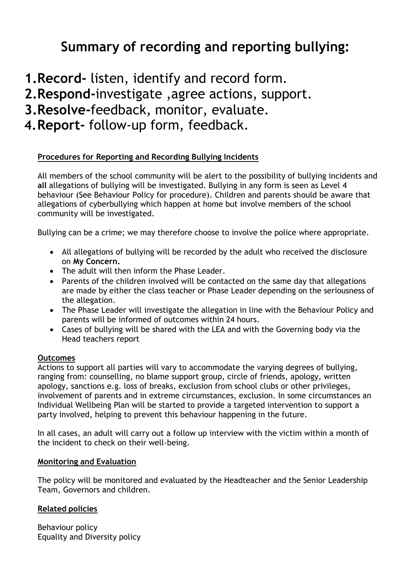# **Summary of recording and reporting bullying:**

**1.Record-** listen, identify and record form.

**2.Respond-**investigate ,agree actions, support.

**3.Resolve-**feedback, monitor, evaluate.

**4.Report-** follow-up form, feedback.

### **Procedures for Reporting and Recording Bullying Incidents**

All members of the school community will be alert to the possibility of bullying incidents and **all** allegations of bullying will be investigated. Bullying in any form is seen as Level 4 behaviour (See Behaviour Policy for procedure). Children and parents should be aware that allegations of cyberbullying which happen at home but involve members of the school community will be investigated.

Bullying can be a crime; we may therefore choose to involve the police where appropriate.

- All allegations of bullying will be recorded by the adult who received the disclosure on **My Concern.**
- The adult will then inform the Phase Leader.
- Parents of the children involved will be contacted on the same day that allegations are made by either the class teacher or Phase Leader depending on the seriousness of the allegation.
- The Phase Leader will investigate the allegation in line with the Behaviour Policy and parents will be informed of outcomes within 24 hours.
- Cases of bullying will be shared with the LEA and with the Governing body via the Head teachers report

#### **Outcomes**

Actions to support all parties will vary to accommodate the varying degrees of bullying, ranging from: counselling, no blame support group, circle of friends, apology, written apology, sanctions e.g. loss of breaks, exclusion from school clubs or other privileges, involvement of parents and in extreme circumstances, exclusion. In some circumstances an Individual Wellbeing Plan will be started to provide a targeted intervention to support a party involved, helping to prevent this behaviour happening in the future.

In all cases, an adult will carry out a follow up interview with the victim within a month of the incident to check on their well-being.

#### **Monitoring and Evaluation**

The policy will be monitored and evaluated by the Headteacher and the Senior Leadership Team, Governors and children.

#### **Related policies**

Behaviour policy Equality and Diversity policy